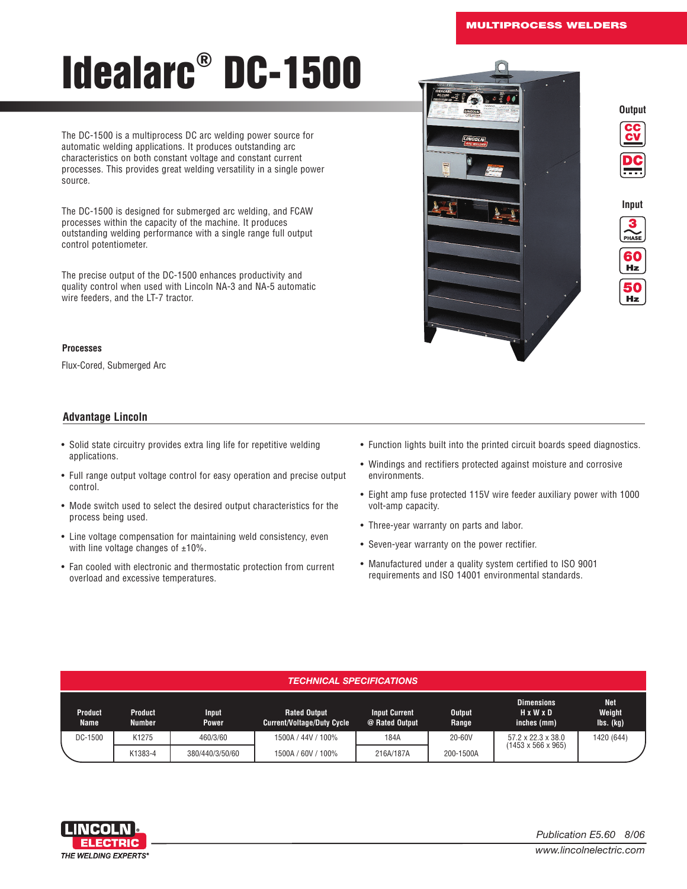**ENG EINCOMV** 

**Output**

**Input**

PHASE 60 Hz 50 Hz

# Idealarc ® DC-1500

The DC-1500 is a multiprocess DC arc welding power source for automatic welding applications. It produces outstanding arc characteristics on both constant voltage and constant current processes. This provides great welding versatility in a single power source.

The DC-1500 is designed for submerged arc welding, and FCAW processes within the capacity of the machine. It produces outstanding welding performance with a single range full output control potentiometer.

The precise output of the DC-1500 enhances productivity and quality control when used with Lincoln NA-3 and NA-5 automatic wire feeders, and the LT-7 tractor.

#### **Processes**

Flux-Cored, Submerged Arc

## **Advantage Lincoln**

- Solid state circuitry provides extra ling life for repetitive welding applications.
- Full range output voltage control for easy operation and precise output control.
- Mode switch used to select the desired output characteristics for the process being used.
- Line voltage compensation for maintaining weld consistency, even with line voltage changes of  $\pm 10\%$ .
- Fan cooled with electronic and thermostatic protection from current overload and excessive temperatures.
- Function lights built into the printed circuit boards speed diagnostics.
- Windings and rectifiers protected against moisture and corrosive environments.
- Eight amp fuse protected 115V wire feeder auxiliary power with 1000 volt-amp capacity.
- Three-year warranty on parts and labor.
- Seven-year warranty on the power rectifier.
- Manufactured under a quality system certified to ISO 9001 requirements and ISO 14001 environmental standards.

#### *TECHNICAL SPECIFICATIONS*

| <b>Product</b><br>Name | <b>Product</b><br><b>Number</b> | <b>Input</b><br>Power | <b>Rated Output</b><br><b>Current/Voltage/Duty Cycle</b> | <b>Input Current</b><br>@ Rated Output | <b>Output</b><br>Range | <b>Dimensions</b><br>HxWxD<br>inches (mm) | <b>Net</b><br>Weight<br>$\mathsf{Ibs}.(\mathsf{kg})$ |
|------------------------|---------------------------------|-----------------------|----------------------------------------------------------|----------------------------------------|------------------------|-------------------------------------------|------------------------------------------------------|
| DC-1500                | K1275                           | 460/3/60              | 1500A / 44V / 100%                                       | 184A                                   | 20-60V                 | $57.2 \times 22.3 \times 38.0$            | 1420 (644)                                           |
|                        | K1383-4                         | 380/440/3/50/60       | 1500A / 60V / 100%                                       | 216A/187A                              | 200-1500A              | $(1453 \times 566 \times 965)$            |                                                      |